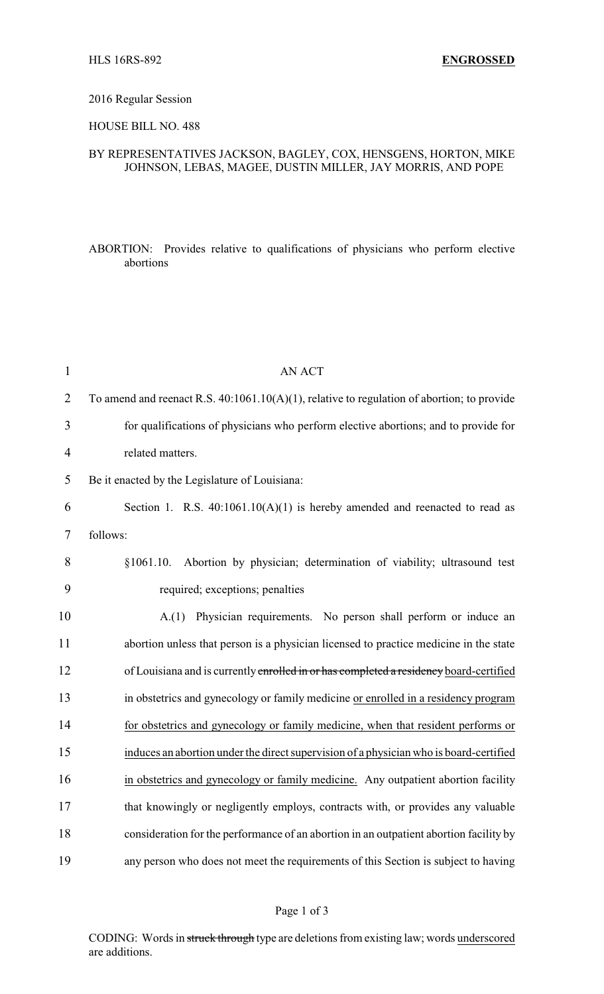#### 2016 Regular Session

# HOUSE BILL NO. 488

# BY REPRESENTATIVES JACKSON, BAGLEY, COX, HENSGENS, HORTON, MIKE JOHNSON, LEBAS, MAGEE, DUSTIN MILLER, JAY MORRIS, AND POPE

ABORTION: Provides relative to qualifications of physicians who perform elective abortions

| $\mathbf{1}$   | <b>AN ACT</b>                                                                                 |
|----------------|-----------------------------------------------------------------------------------------------|
| $\overline{2}$ | To amend and reenact R.S. $40:1061.10(A)(1)$ , relative to regulation of abortion; to provide |
| 3              | for qualifications of physicians who perform elective abortions; and to provide for           |
| $\overline{4}$ | related matters.                                                                              |
| 5              | Be it enacted by the Legislature of Louisiana:                                                |
| 6              | Section 1. R.S. $40:1061.10(A)(1)$ is hereby amended and reenacted to read as                 |
| $\tau$         | follows:                                                                                      |
| 8              | Abortion by physician; determination of viability; ultrasound test<br>\$1061.10.              |
| 9              | required; exceptions; penalties                                                               |
| 10             | A.(1) Physician requirements. No person shall perform or induce an                            |
| 11             | abortion unless that person is a physician licensed to practice medicine in the state         |
| 12             | of Louisiana and is currently enrolled in or has completed a residency board-certified        |
| 13             | in obstetrics and gynecology or family medicine or enrolled in a residency program            |
| 14             | for obstetrics and gynecology or family medicine, when that resident performs or              |
| 15             | induces an abortion under the direct supervision of a physician who is board-certified        |
| 16             | in obstetrics and gynecology or family medicine. Any outpatient abortion facility             |
| 17             | that knowingly or negligently employs, contracts with, or provides any valuable               |
| 18             | consideration for the performance of an abortion in an outpatient abortion facility by        |
| 19             | any person who does not meet the requirements of this Section is subject to having            |

# Page 1 of 3

CODING: Words in struck through type are deletions from existing law; words underscored are additions.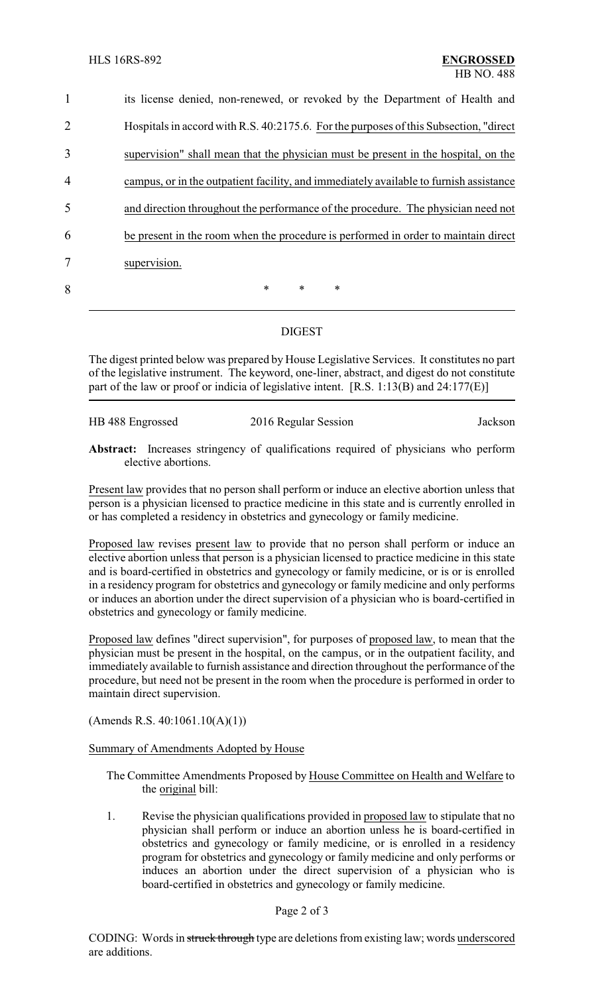| $\mathbf{1}$   | its license denied, non-renewed, or revoked by the Department of Health and            |
|----------------|----------------------------------------------------------------------------------------|
| 2              | Hospitals in accord with R.S. 40:2175.6. For the purposes of this Subsection, "direct" |
| 3              | supervision" shall mean that the physician must be present in the hospital, on the     |
| $\overline{4}$ | campus, or in the outpatient facility, and immediately available to furnish assistance |
| 5              | and direction throughout the performance of the procedure. The physician need not      |
| 6              | be present in the room when the procedure is performed in order to maintain direct     |
| 7              | supervision.                                                                           |
| 8              | $\ast$<br>$\ast$<br>$\ast$                                                             |
|                |                                                                                        |

# DIGEST

The digest printed below was prepared by House Legislative Services. It constitutes no part of the legislative instrument. The keyword, one-liner, abstract, and digest do not constitute part of the law or proof or indicia of legislative intent. [R.S. 1:13(B) and 24:177(E)]

HB 488 Engrossed 2016 Regular Session Jackson

**Abstract:** Increases stringency of qualifications required of physicians who perform elective abortions.

Present law provides that no person shall perform or induce an elective abortion unless that person is a physician licensed to practice medicine in this state and is currently enrolled in or has completed a residency in obstetrics and gynecology or family medicine.

Proposed law revises present law to provide that no person shall perform or induce an elective abortion unless that person is a physician licensed to practice medicine in this state and is board-certified in obstetrics and gynecology or family medicine, or is or is enrolled in a residency program for obstetrics and gynecology or family medicine and only performs or induces an abortion under the direct supervision of a physician who is board-certified in obstetrics and gynecology or family medicine.

Proposed law defines "direct supervision", for purposes of proposed law, to mean that the physician must be present in the hospital, on the campus, or in the outpatient facility, and immediately available to furnish assistance and direction throughout the performance of the procedure, but need not be present in the room when the procedure is performed in order to maintain direct supervision.

(Amends R.S. 40:1061.10(A)(1))

Summary of Amendments Adopted by House

The Committee Amendments Proposed by House Committee on Health and Welfare to the original bill:

1. Revise the physician qualifications provided in proposed law to stipulate that no physician shall perform or induce an abortion unless he is board-certified in obstetrics and gynecology or family medicine, or is enrolled in a residency program for obstetrics and gynecology or family medicine and only performs or induces an abortion under the direct supervision of a physician who is board-certified in obstetrics and gynecology or family medicine.

Page 2 of 3